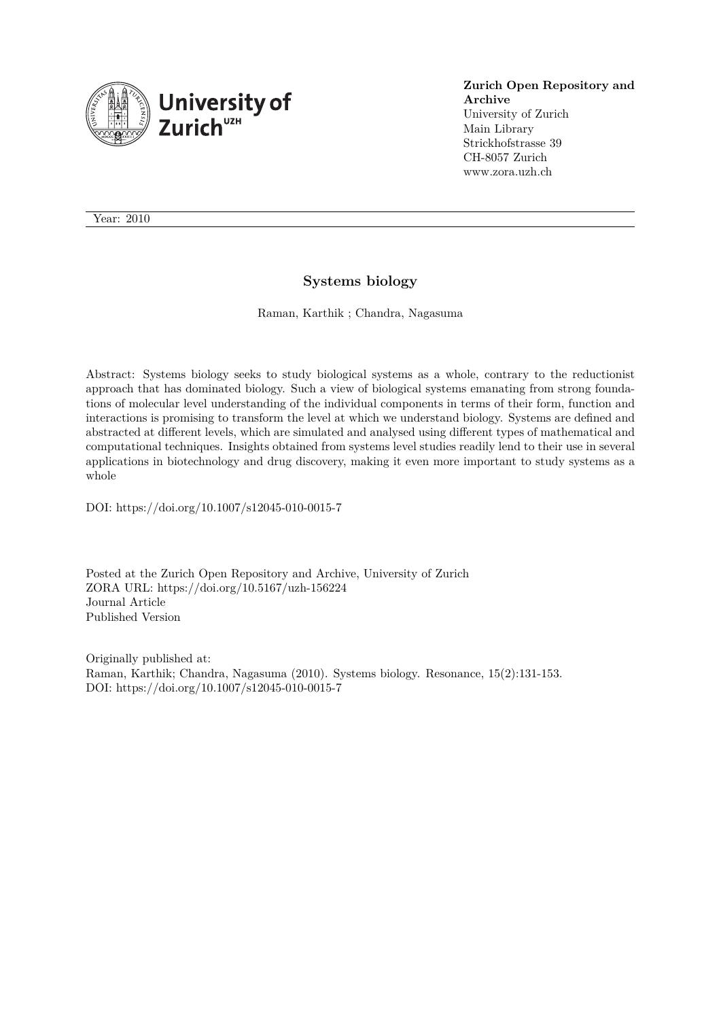

**Zurich Open Repository and Archive** University of Zurich Main Library Strickhofstrasse 39 CH-8057 Zurich www.zora.uzh.ch

Year: 2010

# **Systems biology**

Raman, Karthik ; Chandra, Nagasuma

Abstract: Systems biology seeks to study biological systems as a whole, contrary to the reductionist approach that has dominated biology. Such a view of biological systems emanating from strong foundations of molecular level understanding of the individual components in terms of their form, function and interactions is promising to transform the level at which we understand biology. Systems are defined and abstracted at different levels, which are simulated and analysed using different types of mathematical and computational techniques. Insights obtained from systems level studies readily lend to their use in several applications in biotechnology and drug discovery, making it even more important to study systems as a whole

DOI: https://doi.org/10.1007/s12045-010-0015-7

Posted at the Zurich Open Repository and Archive, University of Zurich ZORA URL: https://doi.org/10.5167/uzh-156224 Journal Article Published Version

Originally published at: Raman, Karthik; Chandra, Nagasuma (2010). Systems biology. Resonance, 15(2):131-153. DOI: https://doi.org/10.1007/s12045-010-0015-7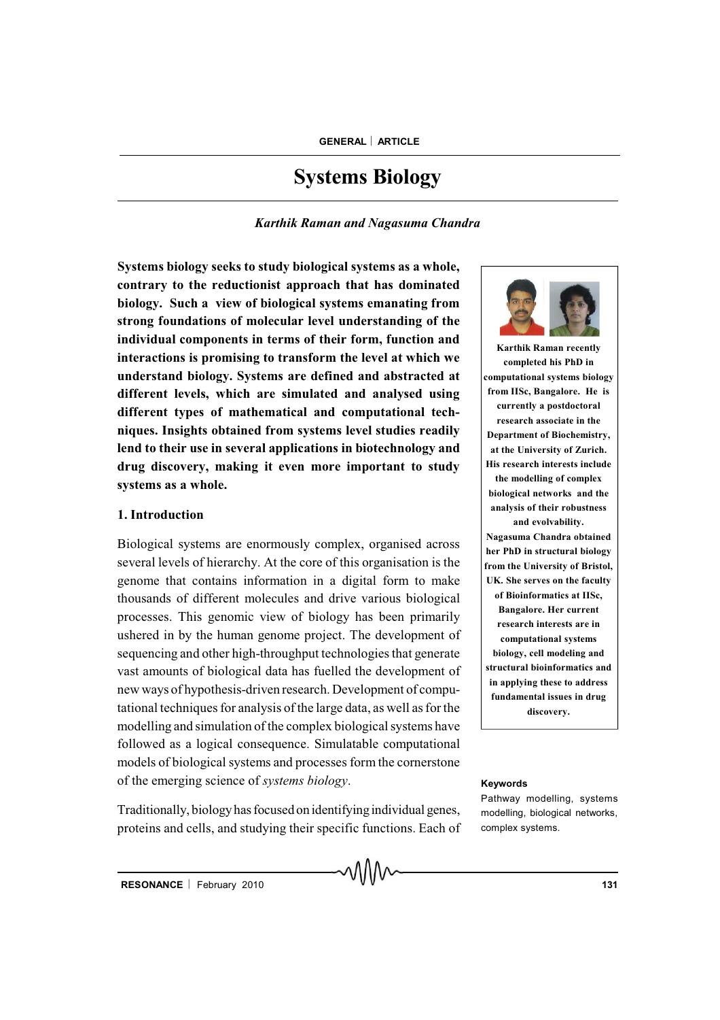# **Systems Biology**

*Karthik Raman and Nagasuma Chandra*

**Systems biology seeks to study biological systems as a whole, contrary to the reductionist approach that has dominated biology. Such a view of biological systems emanating from strong foundations of molecular level understanding of the individual components in terms of their form, function and interactions is promising to transform the level at which we understand biology. Systems are defined and abstracted at different levels, which are simulated and analysed using different types of mathematical and computational techniques. Insights obtained from systems level studies readily lend to their use in several applications in biotechnology and drug discovery, making it even more important to study systems as a whole.**

# **1. Introduction**

Biological systems are enormously complex, organised across several levels of hierarchy. At the core of this organisation is the genome that contains information in a digital form to make thousands of different molecules and drive various biological processes. This genomic view of biology has been primarily ushered in by the human genome project. The development of sequencing and other high-throughput technologies that generate vast amounts of biological data has fuelled the development of new ways of hypothesis-driven research. Development of computational techniques for analysis of the large data, as well as for the modelling and simulation of the complex biological systems have followed as a logical consequence. Simulatable computational models of biological systems and processes form the cornerstone of the emerging science of *systems biology*.

Traditionally, biology has focused on identifyingindividual genes, proteins and cells, and studying their specific functions. Each of





**Karthik Raman recently completed his PhD in computational systems biology from IISc, Bangalore. He is currently a postdoctoral research associate in the Department of Biochemistry, at the University of Zurich. His research interests include the modelling of complex biological networks and the analysis of their robustness and evolvability. Nagasuma Chandra obtained her PhD in structural biology from the University of Bristol, UK. She serves on the faculty of Bioinformatics at IISc, Bangalore. Her current research interests are in computational systems biology, cell modeling and structural bioinformatics and in applying these to address fundamental issues in drug discovery.**

### **Keywords**

Pathway modelling, systems modelling, biological networks, complex systems.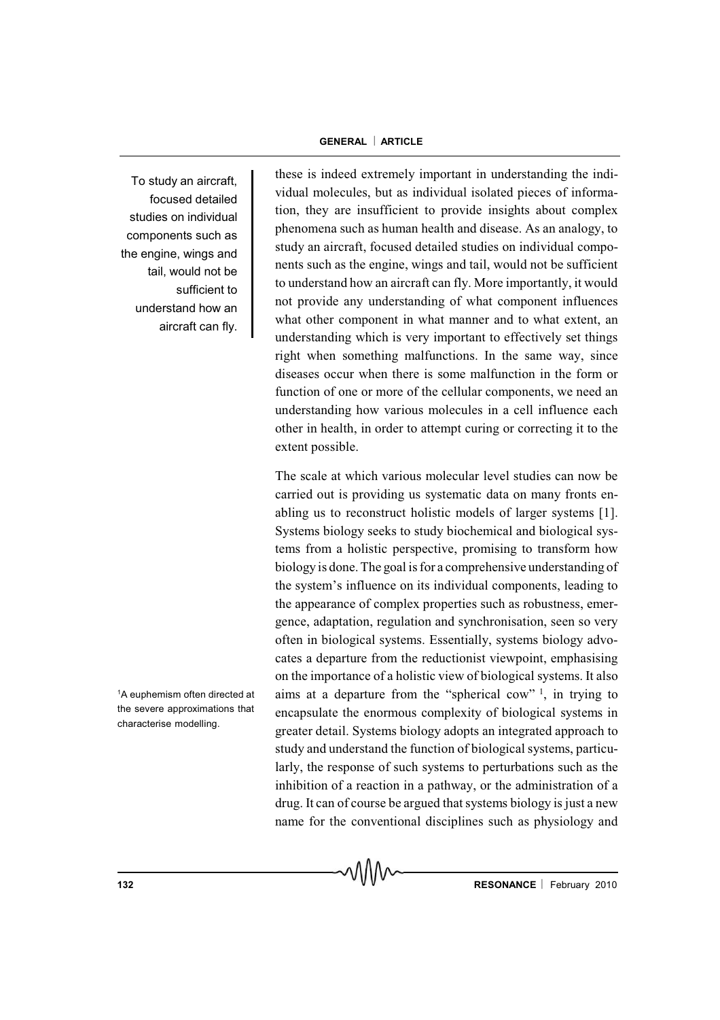To study an aircraft, focused detailed studies on individual components such as the engine, wings and tail, would not be sufficient to understand how an aircraft can fly.

<sup>1</sup>A euphemism often directed at the severe approximations that characterise modelling.

these is indeed extremely important in understanding the individual molecules, but as individual isolated pieces of information, they are insufficient to provide insights about complex phenomena such as human health and disease. As an analogy, to study an aircraft, focused detailed studies on individual components such as the engine, wings and tail, would not be sufficient to understand how an aircraft can fly. More importantly, it would not provide any understanding of what component influences what other component in what manner and to what extent, an understanding which is very important to effectively set things right when something malfunctions. In the same way, since diseases occur when there is some malfunction in the form or function of one or more of the cellular components, we need an understanding how various molecules in a cell influence each other in health, in order to attempt curing or correcting it to the extent possible.

The scale at which various molecular level studies can now be carried out is providing us systematic data on many fronts enabling us to reconstruct holistic models of larger systems [1]. Systems biology seeks to study biochemical and biological systems from a holistic perspective, promising to transform how biology is done. The goal is for a comprehensive understanding of the system's influence on its individual components, leading to the appearance of complex properties such as robustness, emergence, adaptation, regulation and synchronisation, seen so very often in biological systems. Essentially, systems biology advocates a departure from the reductionist viewpoint, emphasising on the importance of a holistic view of biological systems. It also aims at a departure from the "spherical cow"  $\frac{1}{1}$ , in trying to encapsulate the enormous complexity of biological systems in greater detail. Systems biology adopts an integrated approach to study and understand the function of biological systems, particularly, the response of such systems to perturbations such as the inhibition of a reaction in a pathway, or the administration of a drug. It can of course be argued that systems biology is just a new name for the conventional disciplines such as physiology and

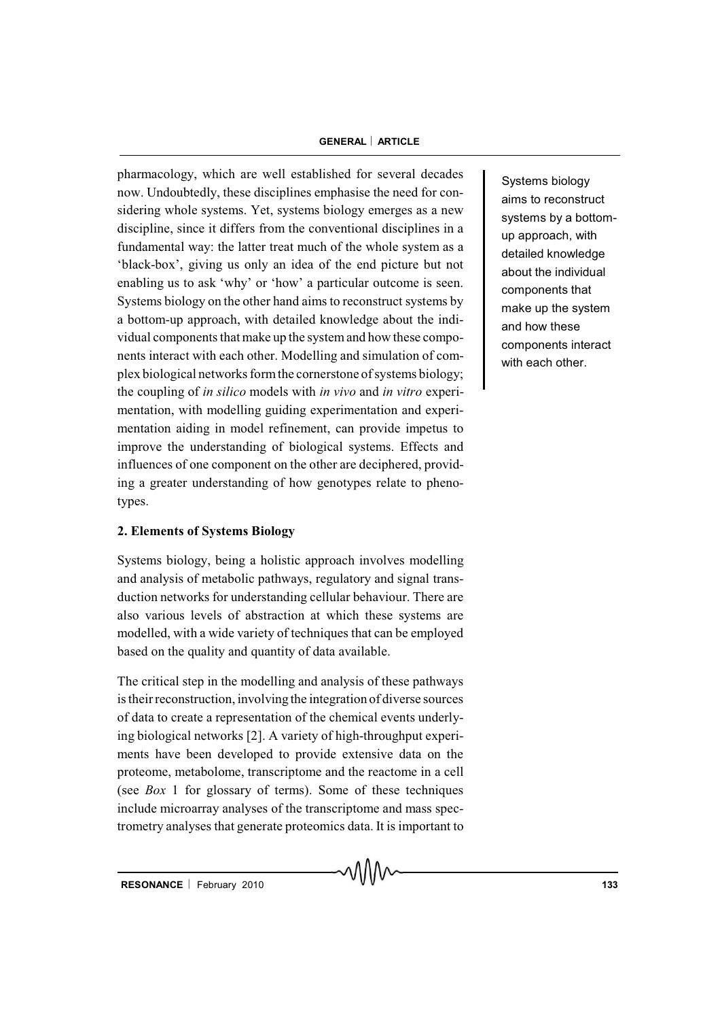pharmacology, which are well established for several decades now. Undoubtedly, these disciplines emphasise the need for considering whole systems. Yet, systems biology emerges as a new discipline, since it differs from the conventional disciplines in a fundamental way: the latter treat much of the whole system as a 'black-box', giving us only an idea of the end picture but not enabling us to ask 'why' or 'how' a particular outcome is seen. Systems biology on the other hand aims to reconstruct systems by a bottom-up approach, with detailed knowledge about the individual components that make up the system and how these components interact with each other. Modelling and simulation of complex biological networks formthe cornerstone of systems biology; the coupling of *in silico* models with *in vivo* and *in vitro* experimentation, with modelling guiding experimentation and experimentation aiding in model refinement, can provide impetus to improve the understanding of biological systems. Effects and influences of one component on the other are deciphered, providing a greater understanding of how genotypes relate to phenotypes.

# **2. Elements of Systems Biology**

Systems biology, being a holistic approach involves modelling and analysis of metabolic pathways, regulatory and signal transduction networks for understanding cellular behaviour. There are also various levels of abstraction at which these systems are modelled, with a wide variety of techniques that can be employed based on the quality and quantity of data available.

The critical step in the modelling and analysis of these pathways is their reconstruction, involving the integration of diverse sources of data to create a representation of the chemical events underlying biological networks [2]. A variety of high-throughput experiments have been developed to provide extensive data on the proteome, metabolome, transcriptome and the reactome in a cell (see *Box* 1 for glossary of terms). Some of these techniques include microarray analyses of the transcriptome and mass spectrometry analyses that generate proteomics data. It is important to

Systems biology aims to reconstruct systems by a bottomup approach, with detailed knowledge about the individual components that make up the system and how these components interact with each other.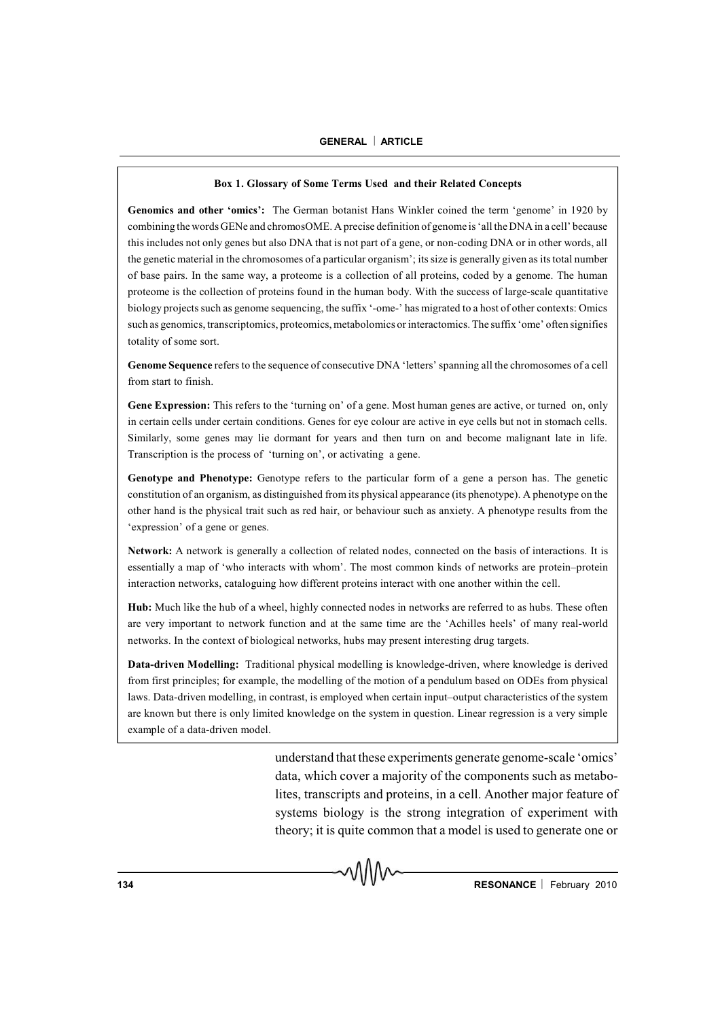#### **Box 1. Glossary of Some Terms Used and their Related Concepts**

**Genomics and other 'omics':** The German botanist Hans Winkler coined the term 'genome' in 1920 by combining the words GENe and chromosOME. A precise definition of genome is 'all the DNA in a cell' because this includes not only genes but also DNA that is not part of a gene, or non-coding DNA or in other words, all the genetic material in the chromosomes of a particular organism'; its size is generally given as its total number of base pairs. In the same way, a proteome is a collection of all proteins, coded by a genome. The human proteome is the collection of proteins found in the human body. With the success of large-scale quantitative biology projects such as genome sequencing, the suffix '-ome-' has migrated to a host of other contexts: Omics such as genomics, transcriptomics, proteomics, metabolomics or interactomics. The suffix 'ome' often signifies totality of some sort.

**Genome Sequence** refers to the sequence of consecutive DNA 'letters' spanning all the chromosomes of a cell from start to finish.

**Gene Expression:** This refers to the 'turning on' of a gene. Most human genes are active, or turned on, only in certain cells under certain conditions. Genes for eye colour are active in eye cells but not in stomach cells. Similarly, some genes may lie dormant for years and then turn on and become malignant late in life. Transcription is the process of 'turning on', or activating a gene.

**Genotype and Phenotype:** Genotype refers to the particular form of a gene a person has. The genetic constitution of an organism, as distinguished from its physical appearance (its phenotype). A phenotype on the other hand is the physical trait such as red hair, or behaviour such as anxiety. A phenotype results from the 'expression' of a gene or genes.

**Network:** A network is generally a collection of related nodes, connected on the basis of interactions. It is essentially a map of 'who interacts with whom'. The most common kinds of networks are protein–protein interaction networks, cataloguing how different proteins interact with one another within the cell.

**Hub:** Much like the hub of a wheel, highly connected nodes in networks are referred to as hubs. These often are very important to network function and at the same time are the 'Achilles heels' of many real-world networks. In the context of biological networks, hubs may present interesting drug targets.

**Data-driven Modelling:** Traditional physical modelling is knowledge-driven, where knowledge is derived from first principles; for example, the modelling of the motion of a pendulum based on ODEs from physical laws. Data-driven modelling, in contrast, is employed when certain input–output characteristics of the system are known but there is only limited knowledge on the system in question. Linear regression is a very simple example of a data-driven model.

> understand that these experiments generate genome-scale 'omics' data, which cover a majority of the components such as metabolites, transcripts and proteins, in a cell. Another major feature of systems biology is the strong integration of experiment with theory; it is quite common that a model is used to generate one or

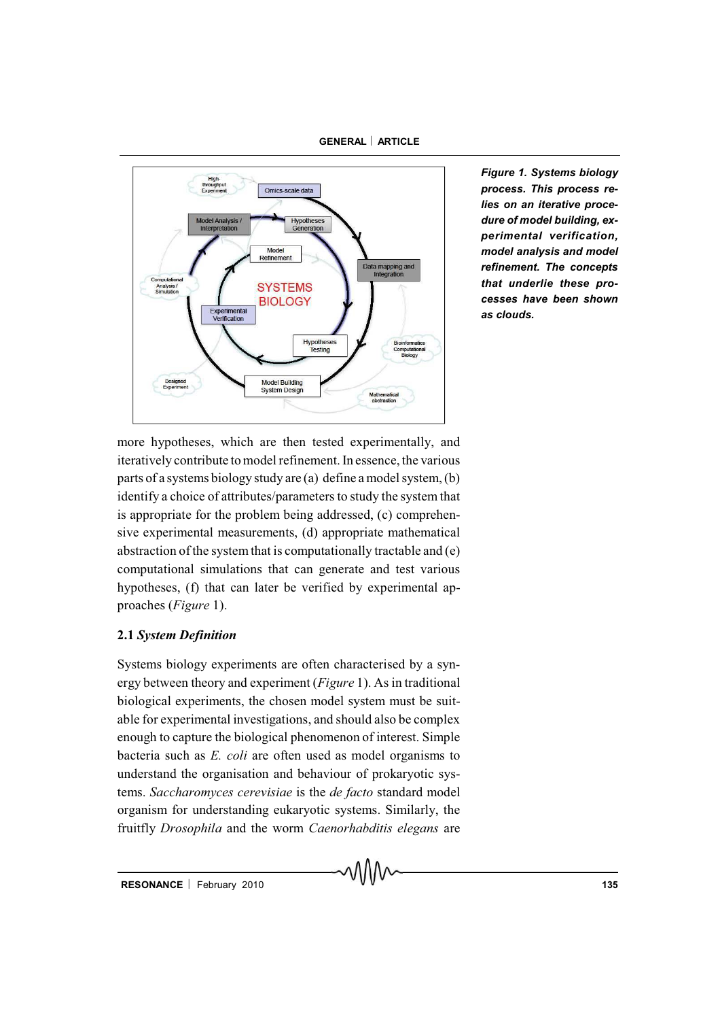

*Figure 1. Systems biology process. This process relies on an iterative procedure of model building, experimental verification, model analysis and model refinement. The concepts that underlie these processes have been shown as clouds.*

more hypotheses, which are then tested experimentally, and iteratively contribute to model refinement. In essence, the various parts of a systems biology study are (a) define a model system, (b) identify a choice of attributes/parameters to study the system that is appropriate for the problem being addressed, (c) comprehensive experimental measurements, (d) appropriate mathematical abstraction of the system that is computationally tractable and (e) computational simulations that can generate and test various hypotheses, (f) that can later be verified by experimental approaches (*Figure* 1).

### **2.1** *System Definition*

Systems biology experiments are often characterised by a synergy between theory and experiment (*Figure* 1). As in traditional biological experiments, the chosen model system must be suitable for experimental investigations, and should also be complex enough to capture the biological phenomenon of interest. Simple bacteria such as *E. coli* are often used as model organisms to understand the organisation and behaviour of prokaryotic systems. *Saccharomyces cerevisiae* is the *de facto* standard model organism for understanding eukaryotic systems. Similarly, the fruitfly *Drosophila* and the worm *Caenorhabditis elegans* are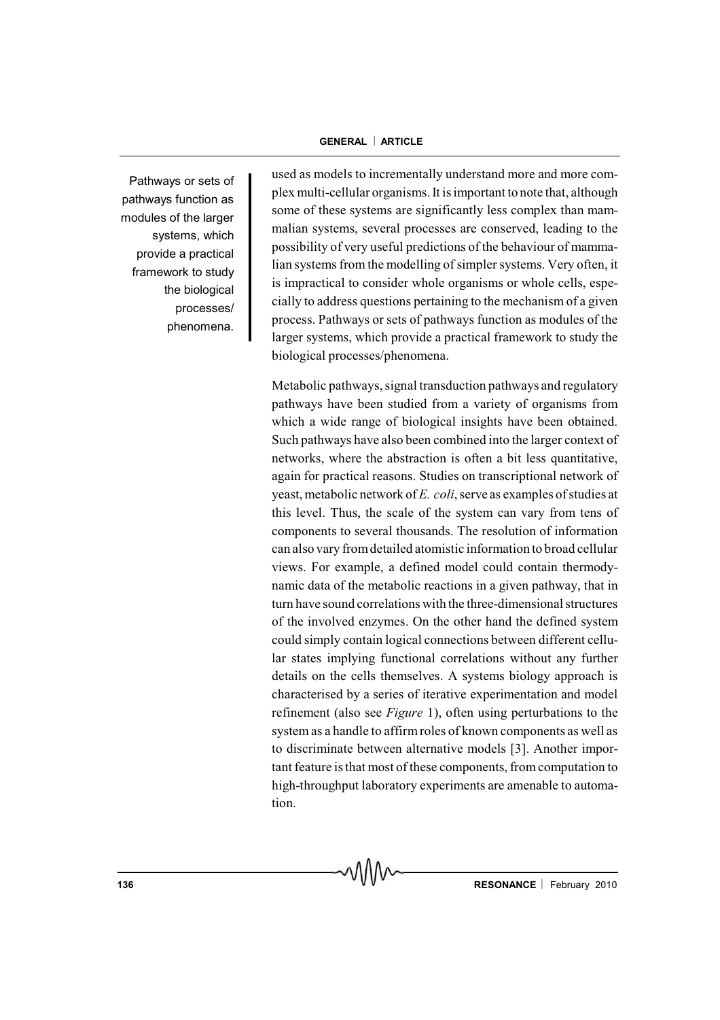Pathways or sets of pathways function as modules of the larger systems, which provide a practical framework to study the biological processes/ phenomena.

used as models to incrementally understand more and more complex multi-cellular organisms. It is important to note that, although some of these systems are significantly less complex than mammalian systems, several processes are conserved, leading to the possibility of very useful predictions of the behaviour of mammalian systems from the modelling of simpler systems. Very often, it is impractical to consider whole organisms or whole cells, especially to address questions pertaining to the mechanism of a given process. Pathways or sets of pathways function as modules of the larger systems, which provide a practical framework to study the biological processes/phenomena.

Metabolic pathways, signal transduction pathways and regulatory pathways have been studied from a variety of organisms from which a wide range of biological insights have been obtained. Such pathways have also been combined into the larger context of networks, where the abstraction is often a bit less quantitative, again for practical reasons. Studies on transcriptional network of yeast, metabolic network of *E. coli*, serve as examples of studies at this level. Thus, the scale of the system can vary from tens of components to several thousands. The resolution of information can also vary from detailed atomistic information to broad cellular views. For example, a defined model could contain thermodynamic data of the metabolic reactions in a given pathway, that in turn have sound correlations with the three-dimensional structures of the involved enzymes. On the other hand the defined system could simply contain logical connections between different cellular states implying functional correlations without any further details on the cells themselves. A systems biology approach is characterised by a series of iterative experimentation and model refinement (also see *Figure* 1), often using perturbations to the system as a handle to affirm roles of known components as well as to discriminate between alternative models [3]. Another important feature is that most of these components, from computation to high-throughput laboratory experiments are amenable to automation.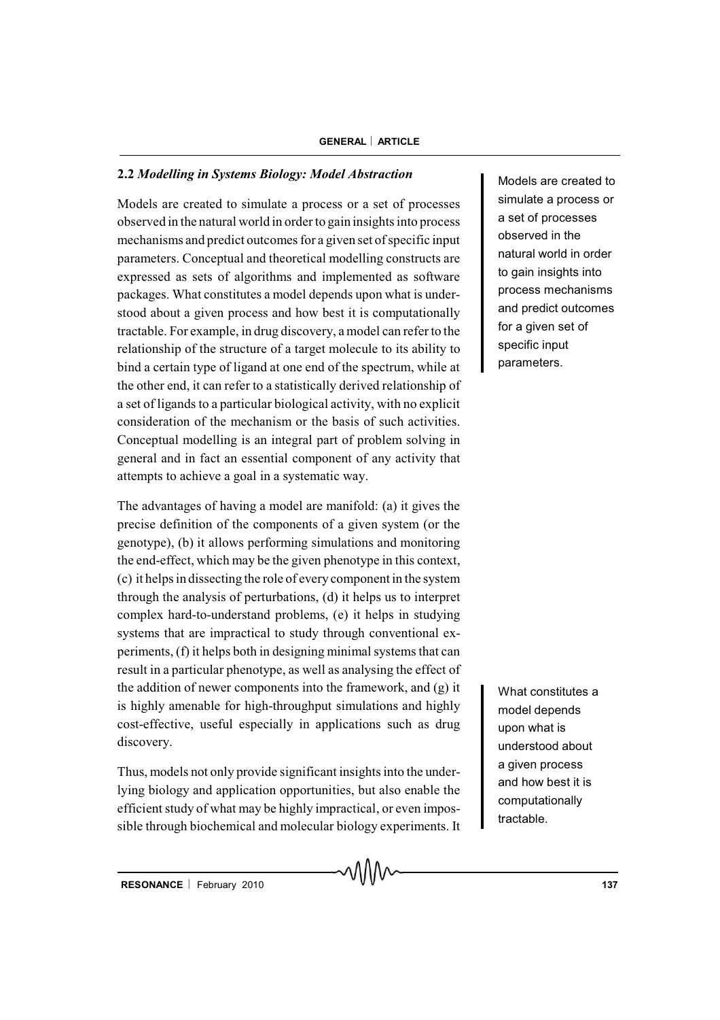### **2.2** *Modelling in Systems Biology: Model Abstraction*

Models are created to simulate a process or a set of processes observed in the natural world in order to gain insights into process mechanisms and predict outcomes for a given set of specific input parameters. Conceptual and theoretical modelling constructs are expressed as sets of algorithms and implemented as software packages. What constitutes a model depends upon what is understood about a given process and how best it is computationally tractable. For example, in drug discovery, a model can refer to the relationship of the structure of a target molecule to its ability to bind a certain type of ligand at one end of the spectrum, while at the other end, it can refer to a statistically derived relationship of a set of ligands to a particular biological activity, with no explicit consideration of the mechanism or the basis of such activities. Conceptual modelling is an integral part of problem solving in general and in fact an essential component of any activity that attempts to achieve a goal in a systematic way.

The advantages of having a model are manifold: (a) it gives the precise definition of the components of a given system (or the genotype), (b) it allows performing simulations and monitoring the end-effect, which may be the given phenotype in this context, (c) it helps in dissecting the role of every component in the system through the analysis of perturbations, (d) it helps us to interpret complex hard-to-understand problems, (e) it helps in studying systems that are impractical to study through conventional experiments, (f) it helps both in designing minimal systems that can result in a particular phenotype, as well as analysing the effect of the addition of newer components into the framework, and (g) it is highly amenable for high-throughput simulations and highly cost-effective, useful especially in applications such as drug discovery.

Thus, models not only provide significant insights into the underlying biology and application opportunities, but also enable the efficient study of what may be highly impractical, or even impossible through biochemical and molecular biology experiments. It

**RESONANCE** February 2010 **137 137** 

Models are created to simulate a process or a set of processes observed in the natural world in order to gain insights into process mechanisms and predict outcomes for a given set of specific input parameters.

What constitutes a model depends upon what is understood about a given process and how best it is computationally tractable.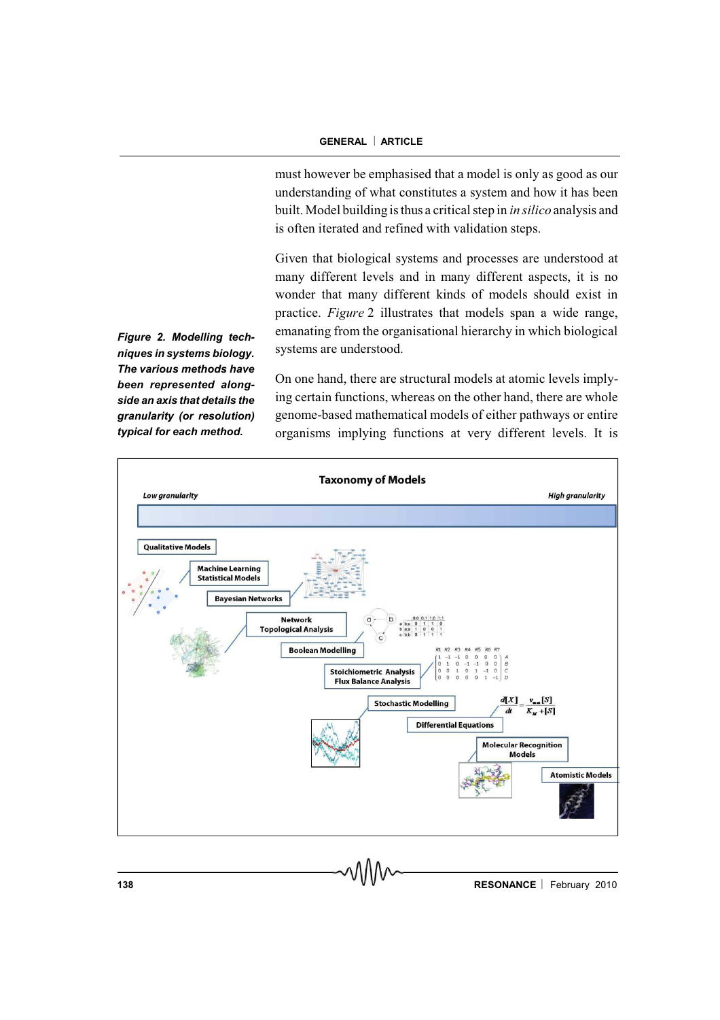must however be emphasised that a model is only as good as our understanding of what constitutes a system and how it has been built. Model building is thus a critical step in *in silico* analysis and is often iterated and refined with validation steps.

Given that biological systems and processes are understood at many different levels and in many different aspects, it is no wonder that many different kinds of models should exist in practice. *Figure* 2 illustrates that models span a wide range, emanating from the organisational hierarchy in which biological systems are understood.

*Figure 2. Modelling techniques in systems biology. The various methods have been represented alongside an axis that details the granularity (or resolution) typical for each method.*

On one hand, there are structural models at atomic levels implying certain functions, whereas on the other hand, there are whole genome-based mathematical models of either pathways or entire organisms implying functions at very different levels. It is



**138 RESONANCE** February 2010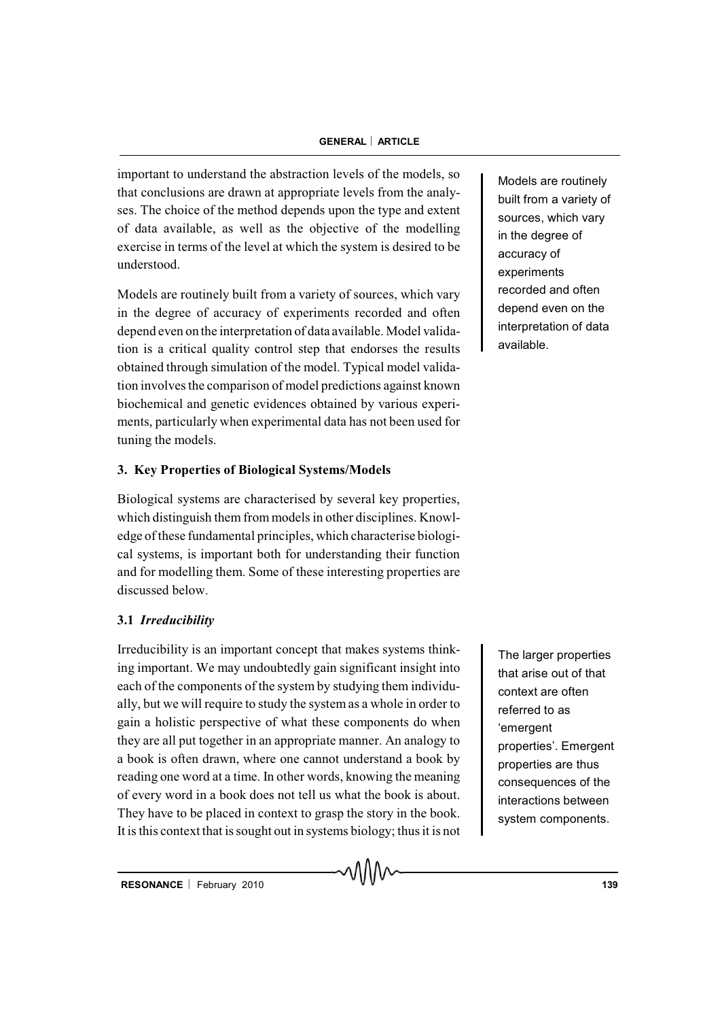important to understand the abstraction levels of the models, so that conclusions are drawn at appropriate levels from the analyses. The choice of the method depends upon the type and extent of data available, as well as the objective of the modelling exercise in terms of the level at which the system is desired to be understood.

Models are routinely built from a variety of sources, which vary in the degree of accuracy of experiments recorded and often depend even on the interpretation of data available. Model validation is a critical quality control step that endorses the results obtained through simulation of the model. Typical model validation involves the comparison of model predictions against known biochemical and genetic evidences obtained by various experiments, particularly when experimental data has not been used for tuning the models.

# **3. Key Properties of Biological Systems/Models**

Biological systems are characterised by several key properties, which distinguish them from models in other disciplines. Knowledge of these fundamental principles, which characterise biological systems, is important both for understanding their function and for modelling them. Some of these interesting properties are discussed below.

# **3.1** *Irreducibility*

Irreducibility is an important concept that makes systems thinking important. We may undoubtedly gain significant insight into each of the components of the system by studying them individually, but we will require to study the system as a whole in order to gain a holistic perspective of what these components do when they are all put together in an appropriate manner. An analogy to a book is often drawn, where one cannot understand a book by reading one word at a time. In other words, knowing the meaning of every word in a book does not tell us what the book is about. They have to be placed in context to grasp the story in the book. It is this context that is sought out in systems biology; thus it is not

MM

Models are routinely built from a variety of sources, which vary in the degree of accuracy of experiments recorded and often depend even on the interpretation of data available.

The larger properties that arise out of that context are often referred to as 'emergent properties'. Emergent properties are thus consequences of the interactions between system components.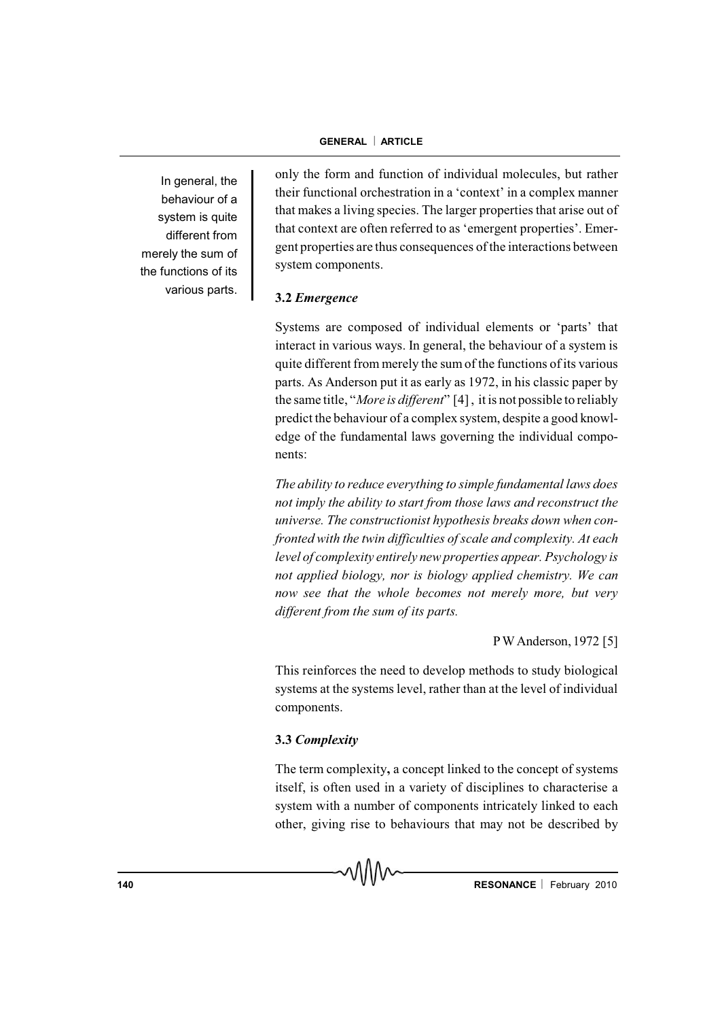In general, the behaviour of a system is quite different from merely the sum of the functions of its various parts.

only the form and function of individual molecules, but rather their functional orchestration in a 'context' in a complex manner that makes a living species. The larger properties that arise out of that context are often referred to as 'emergent properties'. Emergent properties are thus consequences of the interactions between system components.

### **3.2** *Emergence*

Systems are composed of individual elements or 'parts' that interact in various ways. In general, the behaviour of a system is quite different from merely the sum of the functions of its various parts. As Anderson put it as early as 1972, in his classic paper by the same title, "*More is different*" [4] , it is not possible to reliably predict the behaviour of a complex system, despite a good knowledge of the fundamental laws governing the individual components:

*The ability to reduce everything to simple fundamental laws does not imply the ability to start from those laws and reconstruct the universe. The constructionist hypothesis breaks down when confronted with the twin difficulties of scale and complexity. At each level of complexity entirely new properties appear. Psychology is not applied biology, nor is biology applied chemistry. We can now see that the whole becomes not merely more, but very different from the sum of its parts.*

PW Anderson, 1972 [5]

This reinforces the need to develop methods to study biological systems at the systems level, rather than at the level of individual components.

# **3.3** *Complexity*

The term complexity**,** a concept linked to the concept of systems itself, is often used in a variety of disciplines to characterise a system with a number of components intricately linked to each other, giving rise to behaviours that may not be described by

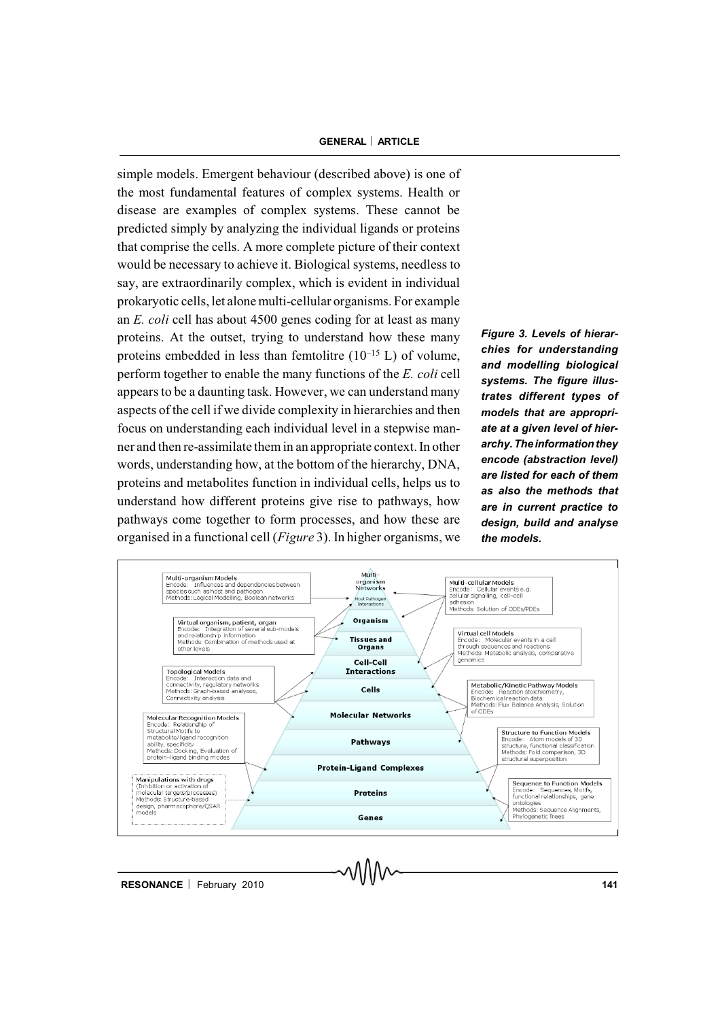simple models. Emergent behaviour (described above) is one of the most fundamental features of complex systems. Health or disease are examples of complex systems. These cannot be predicted simply by analyzing the individual ligands or proteins that comprise the cells. A more complete picture of their context would be necessary to achieve it. Biological systems, needless to say, are extraordinarily complex, which is evident in individual prokaryotic cells, let alone multi-cellular organisms. For example an *E. coli* cell has about 4500 genes coding for at least as many proteins. At the outset, trying to understand how these many proteins embedded in less than femtolitre  $(10^{-15} \text{ L})$  of volume, perform together to enable the many functions of the *E. coli* cell appears to be a daunting task. However, we can understand many aspects of the cell if we divide complexity in hierarchies and then focus on understanding each individual level in a stepwise manner and then re-assimilate them in an appropriate context. In other words, understanding how, at the bottom of the hierarchy, DNA, proteins and metabolites function in individual cells, helps us to understand how different proteins give rise to pathways, how pathways come together to form processes, and how these are organised in a functional cell (*Figure* 3). In higher organisms, we

*Figure 3. Levels of hierarchies for understanding and modelling biological systems. The figure illustrates different types of models that are appropriate at a given level of hierarchy. Theinformation they encode (abstraction level) are listed for each of them as also the methods that are in current practice to design, build and analyse the models.*



**RESONANCE** February 2010 **141 141**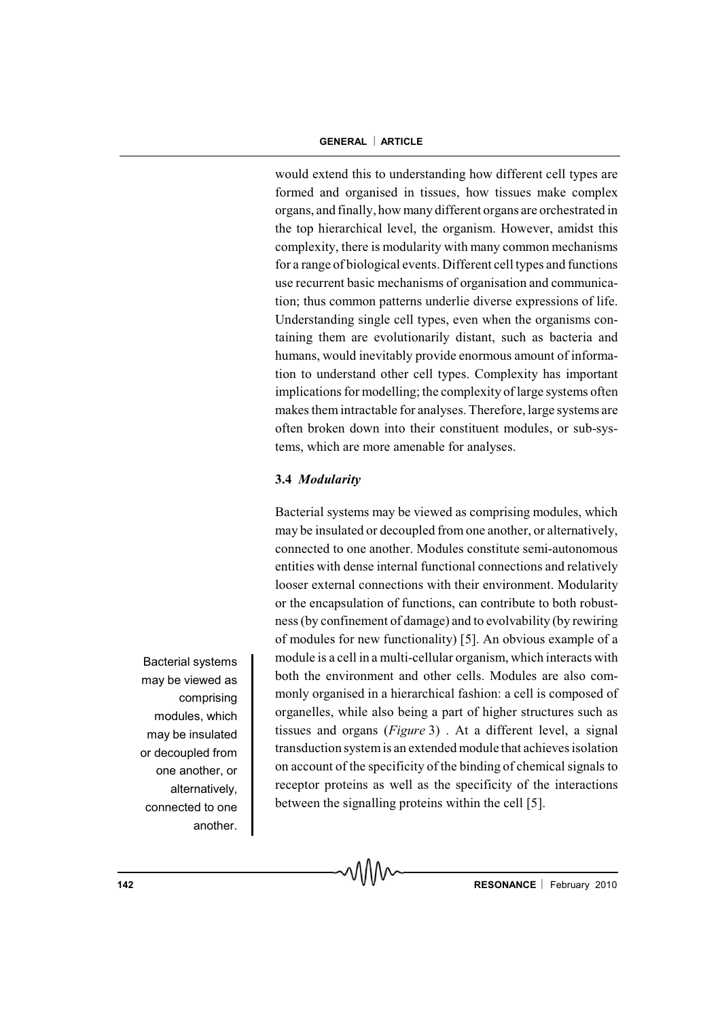would extend this to understanding how different cell types are formed and organised in tissues, how tissues make complex organs, and finally, how many different organs are orchestrated in the top hierarchical level, the organism. However, amidst this complexity, there is modularity with many common mechanisms for a range of biological events. Different cell types and functions use recurrent basic mechanisms of organisation and communication; thus common patterns underlie diverse expressions of life. Understanding single cell types, even when the organisms containing them are evolutionarily distant, such as bacteria and humans, would inevitably provide enormous amount of information to understand other cell types. Complexity has important implications for modelling; the complexity of large systems often makes them intractable for analyses. Therefore, large systems are often broken down into their constituent modules, or sub-systems, which are more amenable for analyses.

### **3.4** *Modularity*

Bacterial systems may be viewed as comprising modules, which may be insulated or decoupled from one another, or alternatively, connected to one another. Modules constitute semi-autonomous entities with dense internal functional connections and relatively looser external connections with their environment. Modularity or the encapsulation of functions, can contribute to both robustness (by confinement of damage) and to evolvability (by rewiring of modules for new functionality) [5]. An obvious example of a module is a cell in a multi-cellular organism, which interacts with both the environment and other cells. Modules are also commonly organised in a hierarchical fashion: a cell is composed of organelles, while also being a part of higher structures such as tissues and organs (*Figure* 3) . At a different level, a signal transduction systemis an extended module that achieves isolation on account of the specificity of the binding of chemical signals to receptor proteins as well as the specificity of the interactions between the signalling proteins within the cell [5].

Bacterial systems may be viewed as comprising modules, which may be insulated or decoupled from one another, or alternatively, connected to one another.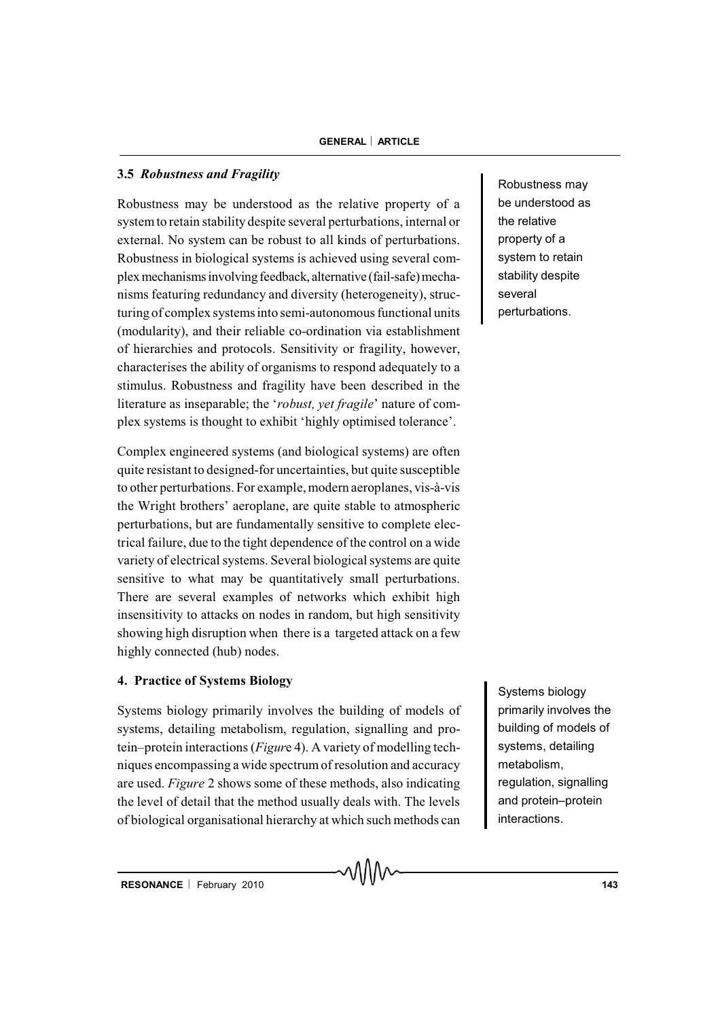# **3.5** *Robustness and Fragility*

Robustness may be understood as the relative property of a system to retain stability despite several perturbations, internal or external. No system can be robust to all kinds of perturbations. Robustness in biological systems is achieved using several complex mechanismsinvolving feedback, alternative (fail-safe) mechanisms featuring redundancy and diversity (heterogeneity), structuring of complex systems into semi-autonomous functional units (modularity), and their reliable co-ordination via establishment of hierarchies and protocols. Sensitivity or fragility, however, characterises the ability of organisms to respond adequately to a stimulus. Robustness and fragility have been described in the literature as inseparable; the '*robust, yet fragile*' nature of complex systems is thought to exhibit 'highly optimised tolerance'.

Complex engineered systems (and biological systems) are often quite resistant to designed-for uncertainties, but quite susceptible to other perturbations. For example, modern aeroplanes, vis-à-vis the Wright brothers' aeroplane, are quite stable to atmospheric perturbations, but are fundamentally sensitive to complete electrical failure, due to the tight dependence of the control on a wide variety of electrical systems. Several biological systems are quite sensitive to what may be quantitatively small perturbations. There are several examples of networks which exhibit high insensitivity to attacks on nodes in random, but high sensitivity showing high disruption when there is a targeted attack on a few highly connected (hub) nodes.

# **4. Practice of Systems Biology**

Systems biology primarily involves the building of models of systems, detailing metabolism, regulation, signalling and protein–protein interactions (*Figur*e 4). A variety of modelling techniques encompassing a wide spectrum of resolution and accuracy are used. *Figure* 2 shows some of these methods, also indicating the level of detail that the method usually deals with. The levels of biological organisational hierarchy at which such methods can



Robustness may be understood as the relative property of a system to retain stability despite several perturbations.

Systems biology primarily involves the building of models of systems, detailing metabolism, regulation, signalling and protein–protein interactions.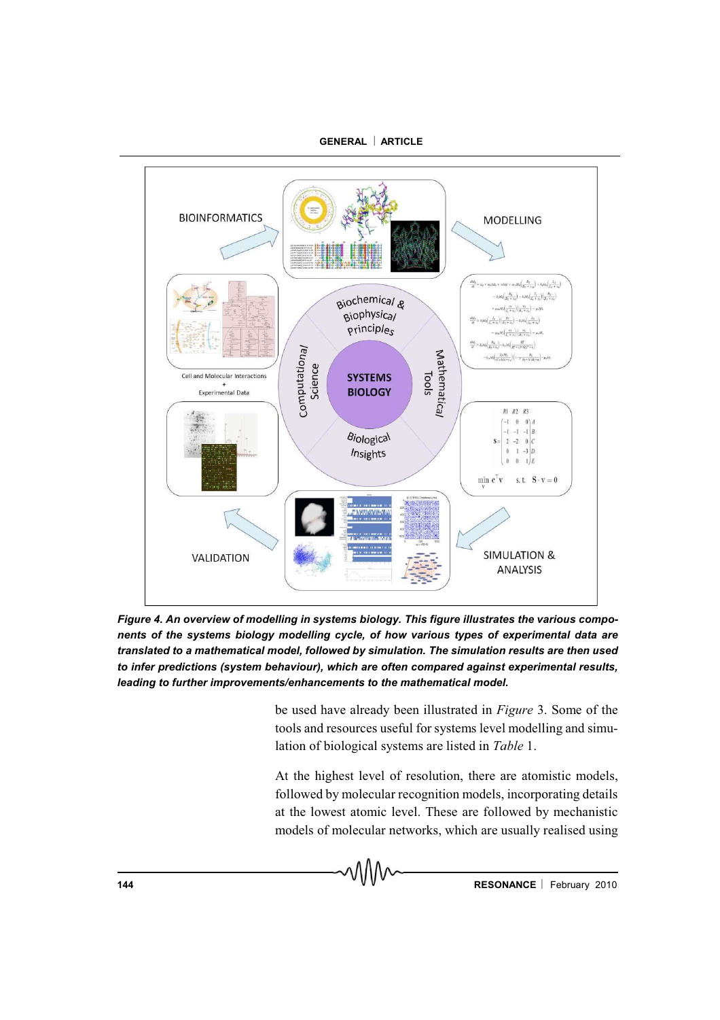

*Figure 4. An overview of modelling in systems biology. This figure illustrates the various components of the systems biology modelling cycle, of how various types of experimental data are translated to a mathematical model, followed by simulation. The simulation results are then used to infer predictions (system behaviour), which are often compared against experimental results, leading to further improvements/enhancements to the mathematical model.*

be used have already been illustrated in *Figure* 3. Some of the tools and resources useful for systems level modelling and simulation of biological systems are listed in *Table* 1.

At the highest level of resolution, there are atomistic models, followed by molecular recognition models, incorporating details at the lowest atomic level. These are followed by mechanistic models of molecular networks, which are usually realised using

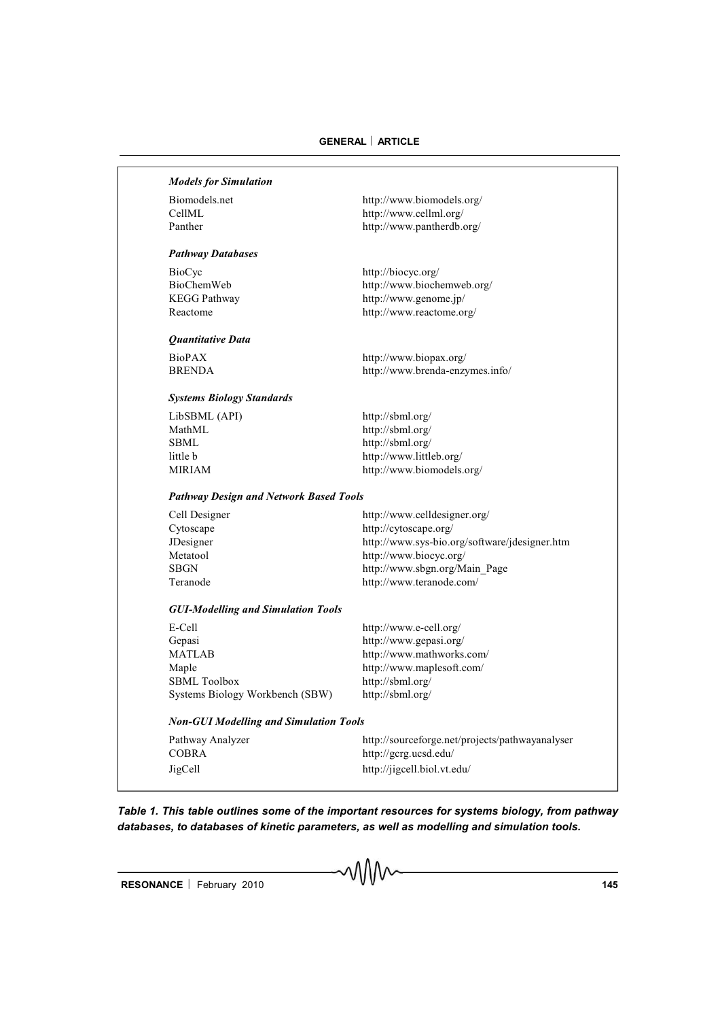#### *Models for Simulation*

#### *Pathway Databases*

#### *Quantitative Data*

#### *Systems Biology Standards*

Biomodels.net http://www.biomodels.org/ CellML http://www.cellml.org/ Panther http://www.pantherdb.org/

BioCyc http://biocyc.org/ BioChemWeb http://www.biochemweb.org/ KEGG Pathway http://www.genome.jp/ Reactome http://www.reactome.org/

BioPAX http://www.biopax.org/ BRENDA http://www.brenda-enzymes.info/

LibSBML (API) http://sbml.org/<br>
MathML http://sbml.org/ http://sbml.org/ SBML http://sbml.org/ little b http://www.littleb.org/<br>
MIRIAM http://www.biomodels. http://www.biomodels.org/

# *Pathway Design and Network Based Tools*

*GUI-Modelling and Simulation Tools*

Cell Designer http://www.celldesigner.org/ Cytoscape http://cytoscape.org/ JDesigner http://www.sys-bio.org/software/jdesigner.htm Metatool http://www.biocyc.org/ SBGN http://www.sbgn.org/Main\_Page Teranode http://www.teranode.com/

### E-Cell http://www.e-cell.org/ Gepasi http://www.gepasi.org/ MATLAB http://www.mathworks.com/ Maple http://www.maplesoft.com/

SBML Toolbox http://sbml.org/ Systems Biology Workbench (SBW) http://sbml.org/

# *Non-GUI Modelling and Simulation Tools*

Pathway Analyzer http://sourceforge.net/projects/pathwayanalyser COBRA http://gcrg.ucsd.edu/ JigCell http://jigcell.biol.vt.edu/

*Table 1. This table outlines some of the important resources for systems biology, from pathway databases, to databases of kinetic parameters, as well as modelling and simulation tools.*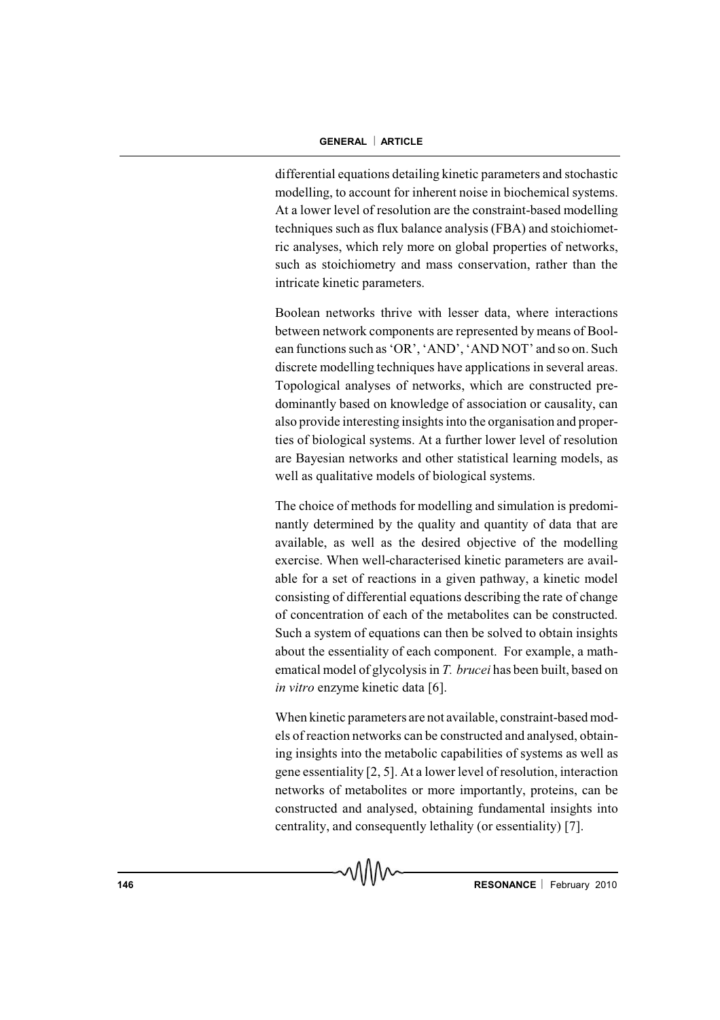differential equations detailing kinetic parameters and stochastic modelling, to account for inherent noise in biochemical systems. At a lower level of resolution are the constraint-based modelling techniques such as flux balance analysis (FBA) and stoichiometric analyses, which rely more on global properties of networks, such as stoichiometry and mass conservation, rather than the intricate kinetic parameters.

Boolean networks thrive with lesser data, where interactions between network components are represented by means of Boolean functions such as 'OR', 'AND', 'AND NOT' and so on. Such discrete modelling techniques have applications in several areas. Topological analyses of networks, which are constructed predominantly based on knowledge of association or causality, can also provide interesting insights into the organisation and properties of biological systems. At a further lower level of resolution are Bayesian networks and other statistical learning models, as well as qualitative models of biological systems.

The choice of methods for modelling and simulation is predominantly determined by the quality and quantity of data that are available, as well as the desired objective of the modelling exercise. When well-characterised kinetic parameters are available for a set of reactions in a given pathway, a kinetic model consisting of differential equations describing the rate of change of concentration of each of the metabolites can be constructed. Such a system of equations can then be solved to obtain insights about the essentiality of each component. For example, a mathematical model of glycolysis in *T. brucei* has been built, based on *in vitro* enzyme kinetic data [6].

When kinetic parameters are not available, constraint-based models of reaction networks can be constructed and analysed, obtaining insights into the metabolic capabilities of systems as well as gene essentiality [2, 5]. At a lower level of resolution, interaction networks of metabolites or more importantly, proteins, can be constructed and analysed, obtaining fundamental insights into centrality, and consequently lethality (or essentiality) [7].

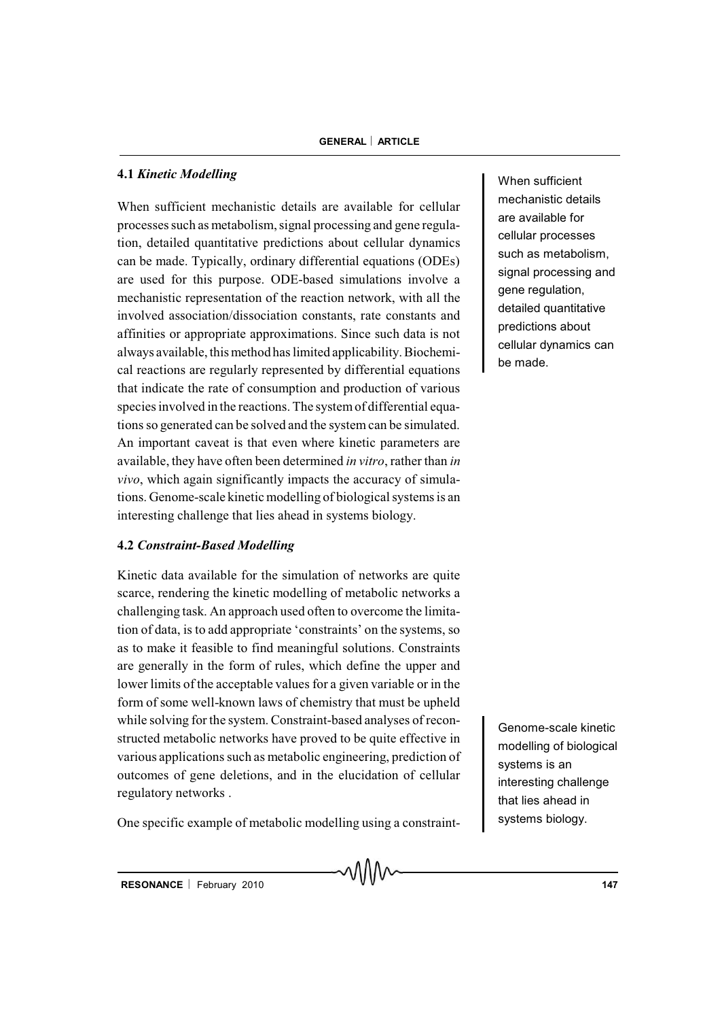# **4.1** *Kinetic Modelling*

When sufficient mechanistic details are available for cellular processes such as metabolism, signal processing and gene regulation, detailed quantitative predictions about cellular dynamics can be made. Typically, ordinary differential equations (ODEs) are used for this purpose. ODE-based simulations involve a mechanistic representation of the reaction network, with all the involved association/dissociation constants, rate constants and affinities or appropriate approximations. Since such data is not always available, this method has limited applicability. Biochemical reactions are regularly represented by differential equations that indicate the rate of consumption and production of various species involved in the reactions. The system of differential equations so generated can be solved and the system can be simulated. An important caveat is that even where kinetic parameters are available, they have often been determined *in vitro*, rather than *in vivo*, which again significantly impacts the accuracy of simulations. Genome-scale kinetic modelling of biological systems is an interesting challenge that lies ahead in systems biology.

# **4.2** *Constraint-Based Modelling*

Kinetic data available for the simulation of networks are quite scarce, rendering the kinetic modelling of metabolic networks a challenging task. An approach used often to overcome the limitation of data, is to add appropriate 'constraints' on the systems, so as to make it feasible to find meaningful solutions. Constraints are generally in the form of rules, which define the upper and lower limits of the acceptable values for a given variable or in the form of some well-known laws of chemistry that must be upheld while solving for the system. Constraint-based analyses of reconstructed metabolic networks have proved to be quite effective in various applications such as metabolic engineering, prediction of outcomes of gene deletions, and in the elucidation of cellular regulatory networks .

One specific example of metabolic modelling using a constraint-

When sufficient mechanistic details are available for cellular processes such as metabolism, signal processing and gene regulation, detailed quantitative predictions about cellular dynamics can be made.

Genome-scale kinetic modelling of biological systems is an interesting challenge that lies ahead in systems biology.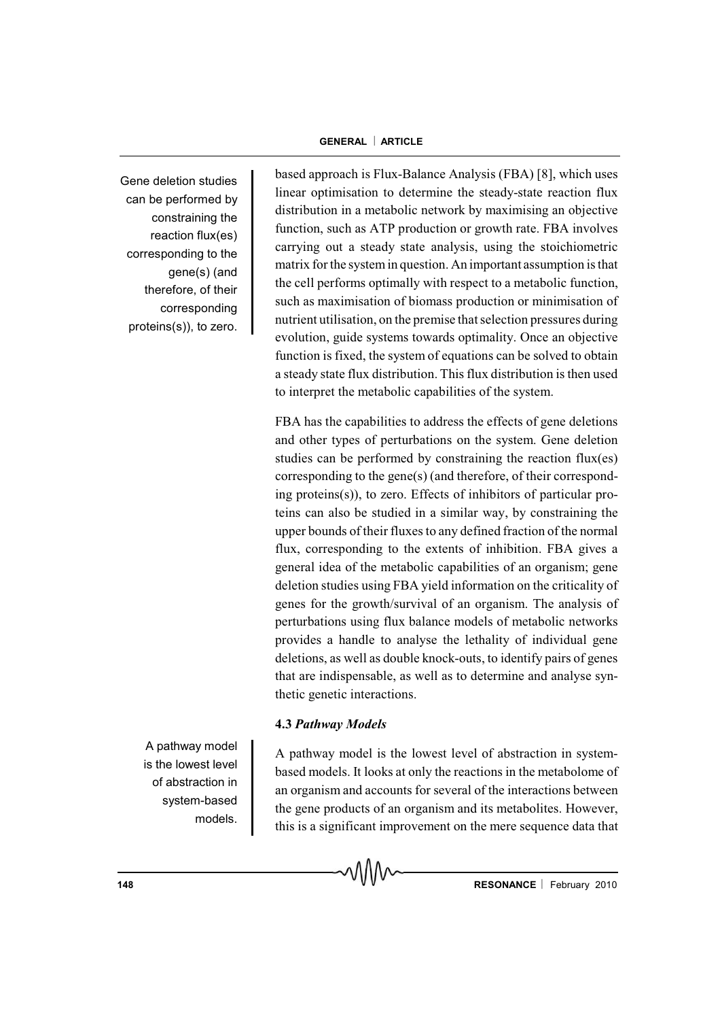Gene deletion studies can be performed by constraining the reaction flux(es) corresponding to the gene(s) (and therefore, of their corresponding proteins(s)), to zero.

based approach is Flux-Balance Analysis (FBA) [8], which uses linear optimisation to determine the steady-state reaction flux distribution in a metabolic network by maximising an objective function, such as ATP production or growth rate. FBA involves carrying out a steady state analysis, using the stoichiometric matrix for the system in question. An important assumption is that the cell performs optimally with respect to a metabolic function, such as maximisation of biomass production or minimisation of nutrient utilisation, on the premise that selection pressures during evolution, guide systems towards optimality. Once an objective function is fixed, the system of equations can be solved to obtain a steady state flux distribution. This flux distribution is then used to interpret the metabolic capabilities of the system.

FBA has the capabilities to address the effects of gene deletions and other types of perturbations on the system. Gene deletion studies can be performed by constraining the reaction flux(es) corresponding to the gene(s) (and therefore, of their corresponding proteins(s)), to zero. Effects of inhibitors of particular proteins can also be studied in a similar way, by constraining the upper bounds of their fluxes to any defined fraction of the normal flux, corresponding to the extents of inhibition. FBA gives a general idea of the metabolic capabilities of an organism; gene deletion studies using FBA yield information on the criticality of genes for the growth/survival of an organism. The analysis of perturbations using flux balance models of metabolic networks provides a handle to analyse the lethality of individual gene deletions, as well as double knock-outs, to identify pairs of genes that are indispensable, as well as to determine and analyse synthetic genetic interactions.

### **4.3** *Pathway Models*

A pathway model is the lowest level of abstraction in systembased models. It looks at only the reactions in the metabolome of an organism and accounts for several of the interactions between the gene products of an organism and its metabolites. However, this is a significant improvement on the mere sequence data that

A pathway model is the lowest level of abstraction in system-based models.

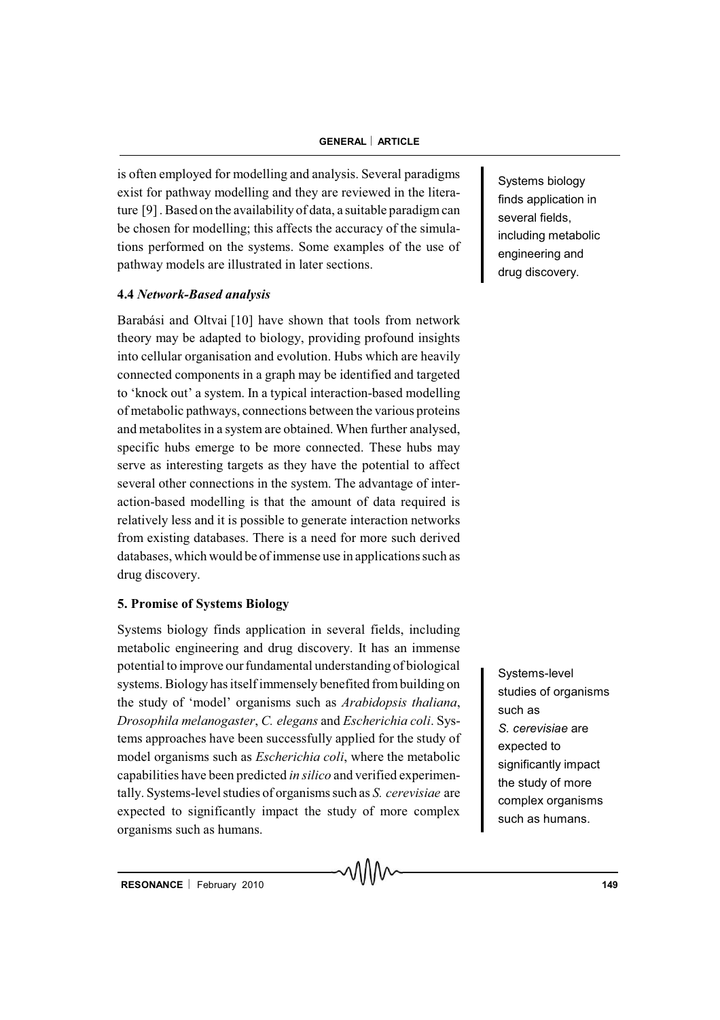is often employed for modelling and analysis. Several paradigms exist for pathway modelling and they are reviewed in the literature [9] . Based on the availability of data, a suitable paradigm can be chosen for modelling; this affects the accuracy of the simulations performed on the systems. Some examples of the use of pathway models are illustrated in later sections.

# **4.4** *Network-Based analysis*

Barabási and Oltvai [10] have shown that tools from network theory may be adapted to biology, providing profound insights into cellular organisation and evolution. Hubs which are heavily connected components in a graph may be identified and targeted to 'knock out' a system. In a typical interaction-based modelling of metabolic pathways, connections between the various proteins and metabolites in a system are obtained. When further analysed, specific hubs emerge to be more connected. These hubs may serve as interesting targets as they have the potential to affect several other connections in the system. The advantage of interaction-based modelling is that the amount of data required is relatively less and it is possible to generate interaction networks from existing databases. There is a need for more such derived databases, which would be of immense use in applications such as drug discovery.

### **5. Promise of Systems Biology**

Systems biology finds application in several fields, including metabolic engineering and drug discovery. It has an immense potential to improve our fundamental understanding of biological systems. Biology has itself immensely benefited from building on the study of 'model' organisms such as *Arabidopsis thaliana*, *Drosophila melanogaster*, *C. elegans* and *Escherichia coli*. Systems approaches have been successfully applied for the study of model organisms such as *Escherichia coli*, where the metabolic capabilities have been predicted *in silico* and verified experimentally. Systems-level studies of organisms such as *S. cerevisiae* are expected to significantly impact the study of more complex organisms such as humans.

Systems biology finds application in several fields, including metabolic engineering and drug discovery.

Systems-level studies of organisms such as *S. cerevisiae* are expected to significantly impact the study of more complex organisms such as humans.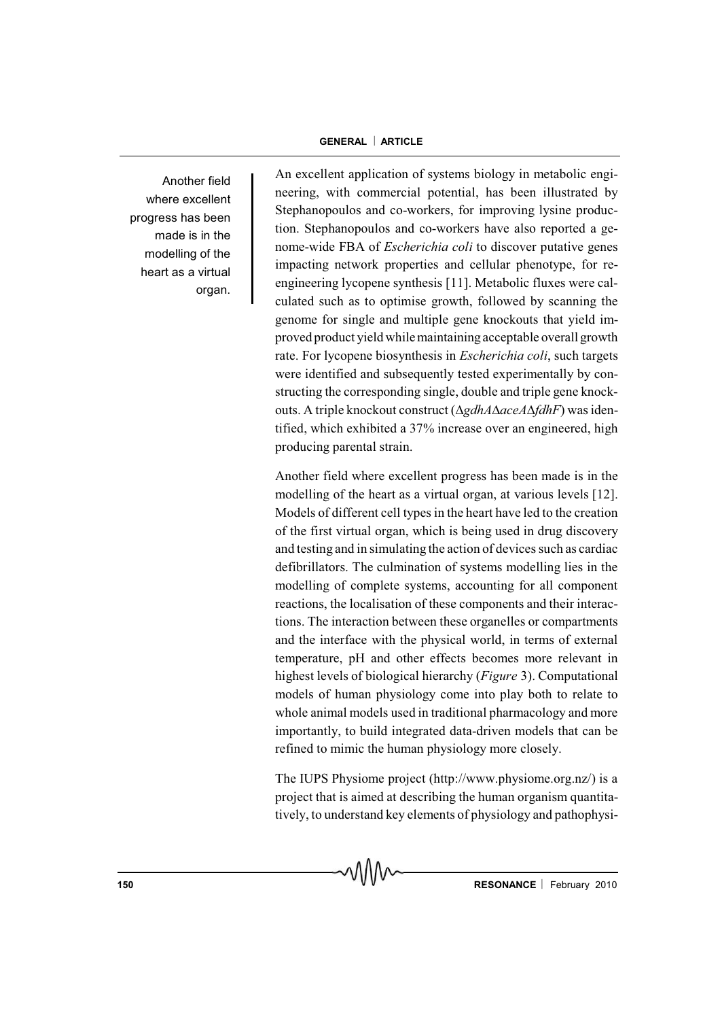Another field where excellent progress has been made is in the modelling of the heart as a virtual organ.

An excellent application of systems biology in metabolic engineering, with commercial potential, has been illustrated by Stephanopoulos and co-workers, for improving lysine production. Stephanopoulos and co-workers have also reported a genome-wide FBA of *Escherichia coli* to discover putative genes impacting network properties and cellular phenotype, for reengineering lycopene synthesis [11]. Metabolic fluxes were calculated such as to optimise growth, followed by scanning the genome for single and multiple gene knockouts that yield improved product yield while maintaining acceptable overall growth rate. For lycopene biosynthesis in *Escherichia coli*, such targets were identified and subsequently tested experimentally by constructing the corresponding single, double and triple gene knockouts. A triple knockout construct (Δ*gdhA*Δ*aceA*Δ*fdhF*) was identified, which exhibited a 37% increase over an engineered, high producing parental strain.

Another field where excellent progress has been made is in the modelling of the heart as a virtual organ, at various levels [12]. Models of different cell types in the heart have led to the creation of the first virtual organ, which is being used in drug discovery and testing and in simulating the action of devices such as cardiac defibrillators. The culmination of systems modelling lies in the modelling of complete systems, accounting for all component reactions, the localisation of these components and their interactions. The interaction between these organelles or compartments and the interface with the physical world, in terms of external temperature, pH and other effects becomes more relevant in highest levels of biological hierarchy (*Figure* 3). Computational models of human physiology come into play both to relate to whole animal models used in traditional pharmacology and more importantly, to build integrated data-driven models that can be refined to mimic the human physiology more closely.

The IUPS Physiome project (http://www.physiome.org.nz/) is a project that is aimed at describing the human organism quantitatively, to understand key elements of physiology and pathophysi-

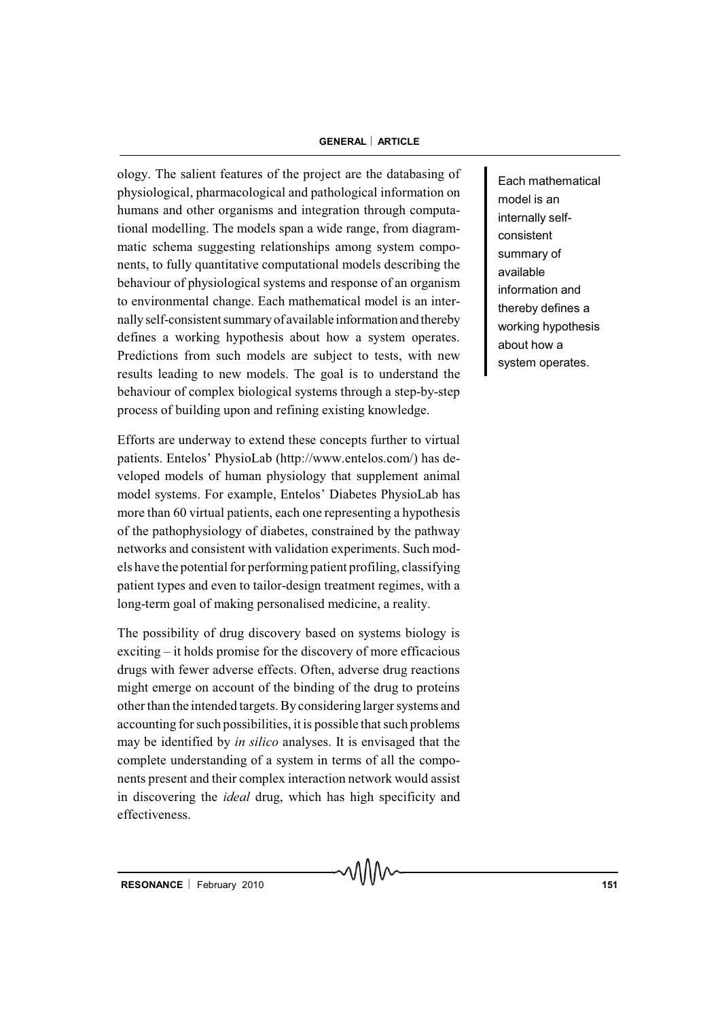ology. The salient features of the project are the databasing of physiological, pharmacological and pathological information on humans and other organisms and integration through computational modelling. The models span a wide range, from diagrammatic schema suggesting relationships among system components, to fully quantitative computational models describing the behaviour of physiological systems and response of an organism to environmental change. Each mathematical model is an internally self-consistent summary of available information and thereby defines a working hypothesis about how a system operates. Predictions from such models are subject to tests, with new results leading to new models. The goal is to understand the behaviour of complex biological systems through a step-by-step process of building upon and refining existing knowledge.

Efforts are underway to extend these concepts further to virtual patients. Entelos' PhysioLab (http://www.entelos.com/) has developed models of human physiology that supplement animal model systems. For example, Entelos' Diabetes PhysioLab has more than 60 virtual patients, each one representing a hypothesis of the pathophysiology of diabetes, constrained by the pathway networks and consistent with validation experiments. Such models have the potential for performing patient profiling, classifying patient types and even to tailor-design treatment regimes, with a long-term goal of making personalised medicine, a reality.

The possibility of drug discovery based on systems biology is exciting – it holds promise for the discovery of more efficacious drugs with fewer adverse effects. Often, adverse drug reactions might emerge on account of the binding of the drug to proteins other than the intended targets. By consideringlarger systems and accounting for such possibilities, it is possible that such problems may be identified by *in silico* analyses. It is envisaged that the complete understanding of a system in terms of all the components present and their complex interaction network would assist in discovering the *ideal* drug, which has high specificity and effectiveness.

Each mathematical model is an internally selfconsistent summary of available information and thereby defines a working hypothesis about how a system operates.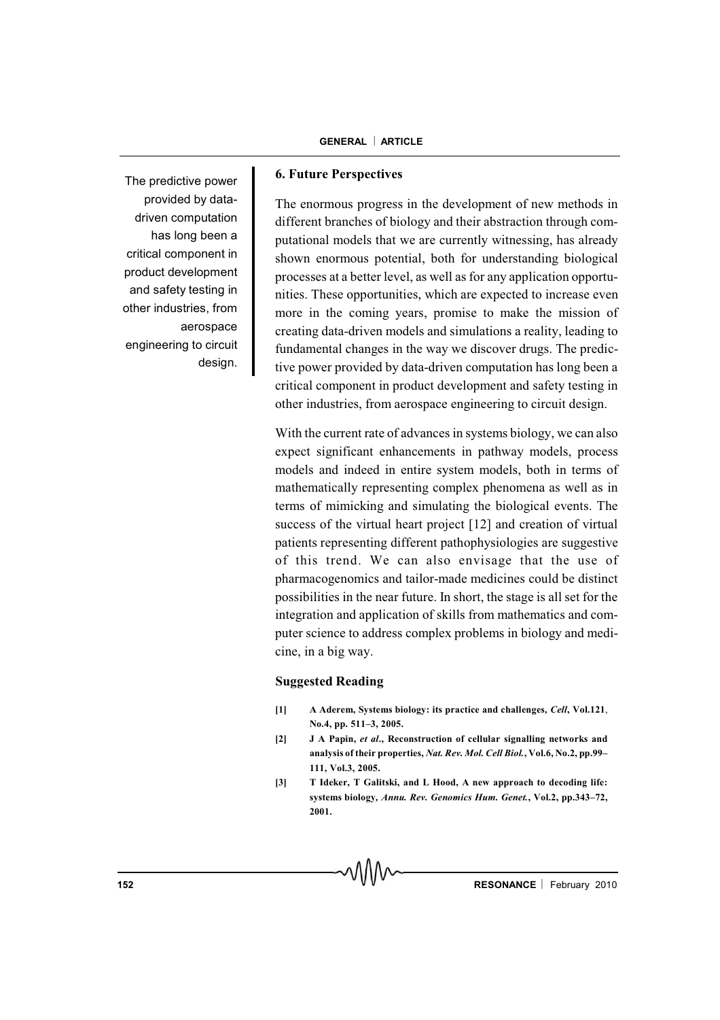The predictive power provided by datadriven computation has long been a critical component in product development and safety testing in other industries, from aerospace engineering to circuit design.

# **6. Future Perspectives**

The enormous progress in the development of new methods in different branches of biology and their abstraction through computational models that we are currently witnessing, has already shown enormous potential, both for understanding biological processes at a better level, as well as for any application opportunities. These opportunities, which are expected to increase even more in the coming years, promise to make the mission of creating data-driven models and simulations a reality, leading to fundamental changes in the way we discover drugs. The predictive power provided by data-driven computation has long been a critical component in product development and safety testing in other industries, from aerospace engineering to circuit design.

With the current rate of advances in systems biology, we can also expect significant enhancements in pathway models, process models and indeed in entire system models, both in terms of mathematically representing complex phenomena as well as in terms of mimicking and simulating the biological events. The success of the virtual heart project [12] and creation of virtual patients representing different pathophysiologies are suggestive of this trend. We can also envisage that the use of pharmacogenomics and tailor-made medicines could be distinct possibilities in the near future. In short, the stage is all set for the integration and application of skills from mathematics and computer science to address complex problems in biology and medicine, in a big way.

#### **Suggested Reading**

- **[1] A Aderem, Systems biology: its practice and challenges***, Cell***, Vol.121**, **No.4, pp. 511–3, 2005.**
- **[2] J A Papin,** *et al***., Reconstruction of cellular signalling networks and analysis of their properties,** *Nat. Rev. Mol. Cell Biol.***, Vol.6, No.2, pp.99– 111, Vol.3, 2005.**
- **[3] T Ideker, T Galitski, and L Hood, A new approach to decoding life: systems biology***, Annu. Rev. Genomics Hum. Genet.***, Vol.2, pp.343–72, 2001.**